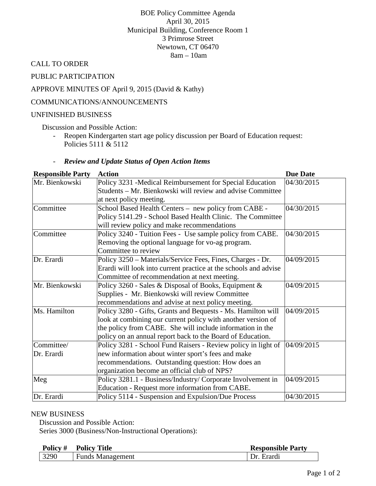## BOE Policy Committee Agenda April 30, 2015 Municipal Building, Conference Room 1 3 Primrose Street Newtown, CT 06470 8am – 10am

CALL TO ORDER

PUBLIC PARTICIPATION

## APPROVE MINUTES OF April 9, 2015 (David & Kathy)

## COMMUNICATIONS/ANNOUNCEMENTS

#### UNFINISHED BUSINESS

Discussion and Possible Action:

- Reopen Kindergarten start age policy discussion per Board of Education request: Policies 5111 & 5112

| <b>Review and Update Status of Open Action Items</b> |  |
|------------------------------------------------------|--|
|                                                      |  |

| <b>Responsible Party</b>                                         | <b>Action</b>                                                    | <b>Due Date</b> |
|------------------------------------------------------------------|------------------------------------------------------------------|-----------------|
| Mr. Bienkowski                                                   | Policy 3231 - Medical Reimbursement for Special Education        | 04/30/2015      |
|                                                                  | Students – Mr. Bienkowski will review and advise Committee       |                 |
|                                                                  | at next policy meeting.                                          |                 |
| Committee                                                        | School Based Health Centers - new policy from CABE -             | 04/30/2015      |
|                                                                  | Policy 5141.29 - School Based Health Clinic. The Committee       |                 |
|                                                                  | will review policy and make recommendations                      |                 |
| Committee                                                        | Policy 3240 - Tuition Fees - Use sample policy from CABE.        | 04/30/2015      |
|                                                                  | Removing the optional language for vo-ag program.                |                 |
|                                                                  | Committee to review                                              |                 |
| Dr. Erardi                                                       | Policy 3250 - Materials/Service Fees, Fines, Charges - Dr.       | 04/09/2015      |
|                                                                  | Erardi will look into current practice at the schools and advise |                 |
|                                                                  | Committee of recommendation at next meeting.                     |                 |
| Mr. Bienkowski                                                   | Policy 3260 - Sales & Disposal of Books, Equipment &             | 04/09/2015      |
|                                                                  | Supplies - Mr. Bienkowski will review Committee                  |                 |
|                                                                  | recommendations and advise at next policy meeting.               |                 |
| Ms. Hamilton                                                     | Policy 3280 - Gifts, Grants and Bequests - Ms. Hamilton will     | 04/09/2015      |
|                                                                  | look at combining our current policy with another version of     |                 |
|                                                                  | the policy from CABE. She will include information in the        |                 |
|                                                                  | policy on an annual report back to the Board of Education.       |                 |
| Committee/                                                       | Policy 3281 - School Fund Raisers - Review policy in light of    | 04/09/2015      |
| Dr. Erardi                                                       | new information about winter sport's fees and make               |                 |
|                                                                  | recommendations. Outstanding question: How does an               |                 |
|                                                                  | organization become an official club of NPS?                     |                 |
| Meg                                                              | Policy 3281.1 - Business/Industry/ Corporate Involvement in      | 04/09/2015      |
|                                                                  | Education - Request more information from CABE.                  |                 |
| Policy 5114 - Suspension and Expulsion/Due Process<br>Dr. Erardi |                                                                  | 04/30/2015      |

#### NEW BUSINESS

Discussion and Possible Action: Series 3000 (Business/Non-Instructional Operations):

| Policy # | <b>Policy Title</b>     | <b>Responsible Party</b> |
|----------|-------------------------|--------------------------|
| 3290     | <b>Funds Management</b> | Dr. Erardi               |